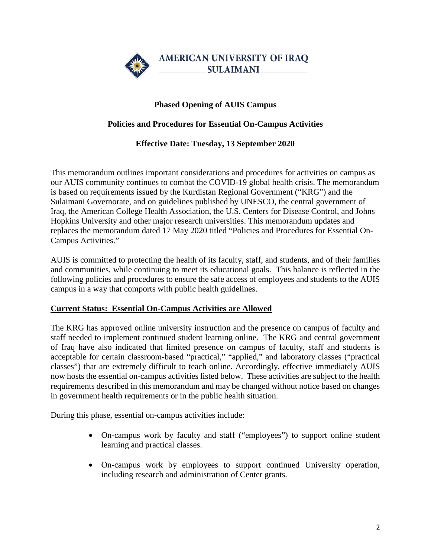

## **Phased Opening of AUIS Campus**

### **Policies and Procedures for Essential On-Campus Activities**

### **Effective Date: Tuesday, 13 September 2020**

This memorandum outlines important considerations and procedures for activities on campus as our AUIS community continues to combat the COVID-19 global health crisis. The memorandum is based on requirements issued by the Kurdistan Regional Government ("KRG") and the Sulaimani Governorate, and on guidelines published by UNESCO, the central government of Iraq, the American College Health Association, the U.S. Centers for Disease Control, and Johns Hopkins University and other major research universities. This memorandum updates and replaces the memorandum dated 17 May 2020 titled "Policies and Procedures for Essential On-Campus Activities."

AUIS is committed to protecting the health of its faculty, staff, and students, and of their families and communities, while continuing to meet its educational goals. This balance is reflected in the following policies and procedures to ensure the safe access of employees and students to the AUIS campus in a way that comports with public health guidelines.

#### **Current Status: Essential On-Campus Activities are Allowed**

The KRG has approved online university instruction and the presence on campus of faculty and staff needed to implement continued student learning online. The KRG and central government of Iraq have also indicated that limited presence on campus of faculty, staff and students is acceptable for certain classroom-based "practical," "applied," and laboratory classes ("practical classes") that are extremely difficult to teach online. Accordingly, effective immediately AUIS now hosts the essential on-campus activities listed below. These activities are subject to the health requirements described in this memorandum and may be changed without notice based on changes in government health requirements or in the public health situation.

During this phase, essential on-campus activities include:

- On-campus work by faculty and staff ("employees") to support online student learning and practical classes.
- On-campus work by employees to support continued University operation, including research and administration of Center grants.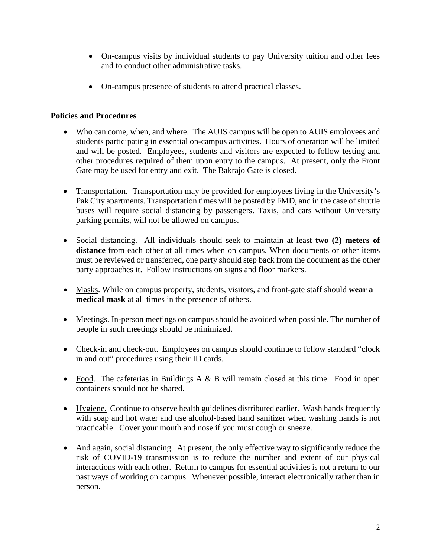- On-campus visits by individual students to pay University tuition and other fees and to conduct other administrative tasks.
- On-campus presence of students to attend practical classes.

# **Policies and Procedures**

- Who can come, when, and where. The AUIS campus will be open to AUIS employees and students participating in essential on-campus activities. Hours of operation will be limited and will be posted. Employees, students and visitors are expected to follow testing and other procedures required of them upon entry to the campus. At present, only the Front Gate may be used for entry and exit. The Bakrajo Gate is closed.
- Transportation. Transportation may be provided for employees living in the University's Pak City apartments. Transportation times will be posted by FMD, and in the case of shuttle buses will require social distancing by passengers. Taxis, and cars without University parking permits, will not be allowed on campus.
- Social distancing. All individuals should seek to maintain at least **two (2) meters of distance** from each other at all times when on campus. When documents or other items must be reviewed or transferred, one party should step back from the document as the other party approaches it. Follow instructions on signs and floor markers.
- Masks. While on campus property, students, visitors, and front-gate staff should **wear a medical mask** at all times in the presence of others.
- Meetings. In-person meetings on campus should be avoided when possible. The number of people in such meetings should be minimized.
- Check-in and check-out. Employees on campus should continue to follow standard "clock" in and out" procedures using their ID cards.
- Food. The cafeterias in Buildings  $A \& B$  will remain closed at this time. Food in open containers should not be shared.
- Hygiene. Continue to observe health guidelines distributed earlier. Wash hands frequently with soap and hot water and use alcohol-based hand sanitizer when washing hands is not practicable. Cover your mouth and nose if you must cough or sneeze.
- And again, social distancing. At present, the only effective way to significantly reduce the risk of COVID-19 transmission is to reduce the number and extent of our physical interactions with each other. Return to campus for essential activities is not a return to our past ways of working on campus. Whenever possible, interact electronically rather than in person.